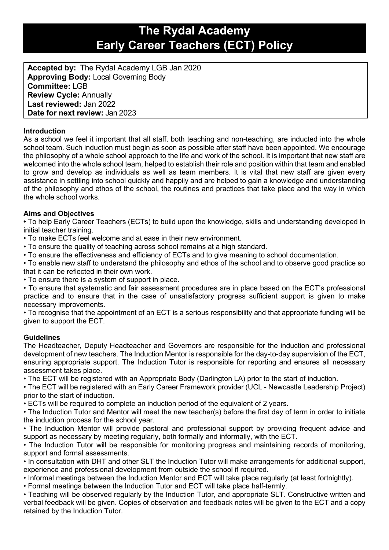# **The Rydal Academy Early Career Teachers (ECT) Policy**

**Accepted by:** The Rydal Academy LGB Jan 2020 **Approving Body:** Local Governing Body **Committee:** LGB **Review Cycle:** Annually **Last reviewed:** Jan 2022 **Date for next review:** Jan 2023

# **Introduction**

As a school we feel it important that all staff, both teaching and non-teaching, are inducted into the whole school team. Such induction must begin as soon as possible after staff have been appointed. We encourage the philosophy of a whole school approach to the life and work of the school. It is important that new staff are welcomed into the whole school team, helped to establish their role and position within that team and enabled to grow and develop as individuals as well as team members. It is vital that new staff are given every assistance in settling into school quickly and happily and are helped to gain a knowledge and understanding of the philosophy and ethos of the school, the routines and practices that take place and the way in which the whole school works.

# **Aims and Objectives**

**•** To help Early Career Teachers (ECTs) to build upon the knowledge, skills and understanding developed in initial teacher training.

• To make ECTs feel welcome and at ease in their new environment.

• To ensure the quality of teaching across school remains at a high standard.

• To ensure the effectiveness and efficiency of ECTs and to give meaning to school documentation.

• To enable new staff to understand the philosophy and ethos of the school and to observe good practice so that it can be reflected in their own work.

• To ensure there is a system of support in place.

• To ensure that systematic and fair assessment procedures are in place based on the ECT's professional practice and to ensure that in the case of unsatisfactory progress sufficient support is given to make necessary improvements.

• To recognise that the appointment of an ECT is a serious responsibility and that appropriate funding will be given to support the ECT.

# **Guidelines**

The Headteacher, Deputy Headteacher and Governors are responsible for the induction and professional development of new teachers. The Induction Mentor is responsible for the day-to-day supervision of the ECT, ensuring appropriate support. The Induction Tutor is responsible for reporting and ensures all necessary assessment takes place.

• The ECT will be registered with an Appropriate Body (Darlington LA) prior to the start of induction.

• The ECT will be registered with an Early Career Framework provider (UCL - Newcastle Leadership Project) prior to the start of induction.

• ECTs will be required to complete an induction period of the equivalent of 2 years.

• The Induction Tutor and Mentor will meet the new teacher(s) before the first day of term in order to initiate the induction process for the school year.

• The Induction Mentor will provide pastoral and professional support by providing frequent advice and support as necessary by meeting regularly, both formally and informally, with the ECT.

• The Induction Tutor will be responsible for monitoring progress and maintaining records of monitoring, support and formal assessments.

• In consultation with DHT and other SLT the Induction Tutor will make arrangements for additional support, experience and professional development from outside the school if required.

• Informal meetings between the Induction Mentor and ECT will take place regularly (at least fortnightly).

• Formal meetings between the Induction Tutor and ECT will take place half-termly.

• Teaching will be observed regularly by the Induction Tutor, and appropriate SLT. Constructive written and verbal feedback will be given. Copies of observation and feedback notes will be given to the ECT and a copy retained by the Induction Tutor.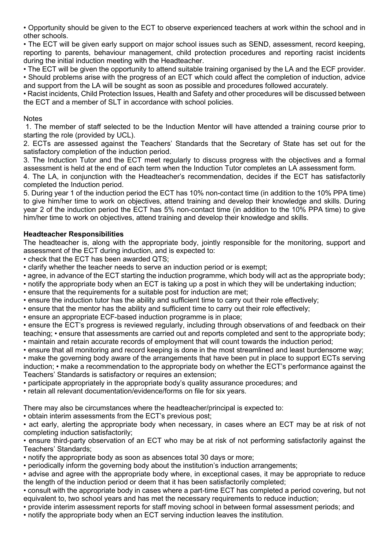• Opportunity should be given to the ECT to observe experienced teachers at work within the school and in other schools.

• The ECT will be given early support on major school issues such as SEND, assessment, record keeping, reporting to parents, behaviour management, child protection procedures and reporting racist incidents during the initial induction meeting with the Headteacher.

• The ECT will be given the opportunity to attend suitable training organised by the LA and the ECF provider. • Should problems arise with the progress of an ECT which could affect the completion of induction, advice and support from the LA will be sought as soon as possible and procedures followed accurately.

• Racist incidents, Child Protection Issues, Health and Safety and other procedures will be discussed between the ECT and a member of SLT in accordance with school policies.

## **Notes**

1. The member of staff selected to be the Induction Mentor will have attended a training course prior to starting the role (provided by UCL).

2. ECTs are assessed against the Teachers' Standards that the Secretary of State has set out for the satisfactory completion of the induction period.

3. The Induction Tutor and the ECT meet regularly to discuss progress with the objectives and a formal assessment is held at the end of each term when the Induction Tutor completes an LA assessment form.

4. The LA, in conjunction with the Headteacher's recommendation, decides if the ECT has satisfactorily completed the Induction period.

5. During year 1 of the induction period the ECT has 10% non-contact time (in addition to the 10% PPA time) to give him/her time to work on objectives, attend training and develop their knowledge and skills. During year 2 of the induction period the ECT has 5% non-contact time (in addition to the 10% PPA time) to give him/her time to work on objectives, attend training and develop their knowledge and skills.

# **Headteacher Responsibilities**

The headteacher is, along with the appropriate body, jointly responsible for the monitoring, support and assessment of the ECT during induction, and is expected to:

• check that the ECT has been awarded QTS;

- clarify whether the teacher needs to serve an induction period or is exempt;
- agree, in advance of the ECT starting the induction programme, which body will act as the appropriate body;
- notify the appropriate body when an ECT is taking up a post in which they will be undertaking induction;
- ensure that the requirements for a suitable post for induction are met;
- ensure the induction tutor has the ability and sufficient time to carry out their role effectively;
- ensure that the mentor has the ability and sufficient time to carry out their role effectively;
- ensure an appropriate ECF-based induction programme is in place;

• ensure the ECT's progress is reviewed regularly, including through observations of and feedback on their teaching; • ensure that assessments are carried out and reports completed and sent to the appropriate body; • maintain and retain accurate records of employment that will count towards the induction period;

• ensure that all monitoring and record keeping is done in the most streamlined and least burdensome way;

• make the governing body aware of the arrangements that have been put in place to support ECTs serving induction; • make a recommendation to the appropriate body on whether the ECT's performance against the Teachers' Standards is satisfactory or requires an extension;

- participate appropriately in the appropriate body's quality assurance procedures; and
- retain all relevant documentation/evidence/forms on file for six years.

There may also be circumstances where the headteacher/principal is expected to:

• obtain interim assessments from the ECT's previous post;

• act early, alerting the appropriate body when necessary, in cases where an ECT may be at risk of not completing induction satisfactorily;

• ensure third-party observation of an ECT who may be at risk of not performing satisfactorily against the Teachers' Standards;

- notify the appropriate body as soon as absences total 30 days or more;
- periodically inform the governing body about the institution's induction arrangements;
- advise and agree with the appropriate body where, in exceptional cases, it may be appropriate to reduce the length of the induction period or deem that it has been satisfactorily completed;

• consult with the appropriate body in cases where a part-time ECT has completed a period covering, but not equivalent to, two school years and has met the necessary requirements to reduce induction;

- provide interim assessment reports for staff moving school in between formal assessment periods; and
- notify the appropriate body when an ECT serving induction leaves the institution.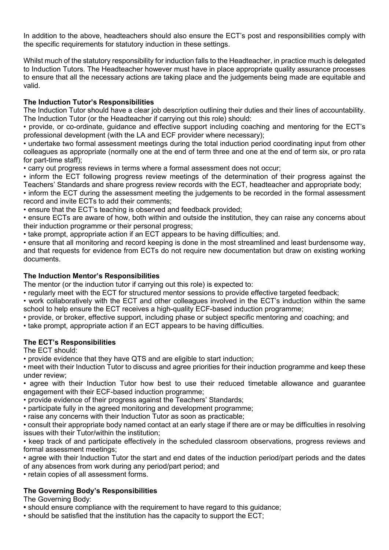In addition to the above, headteachers should also ensure the ECT's post and responsibilities comply with the specific requirements for statutory induction in these settings.

Whilst much of the statutory responsibility for induction falls to the Headteacher, in practice much is delegated to Induction Tutors. The Headteacher however must have in place appropriate quality assurance processes to ensure that all the necessary actions are taking place and the judgements being made are equitable and valid.

## **The Induction Tutor's Responsibilities**

The Induction Tutor should have a clear job description outlining their duties and their lines of accountability. The Induction Tutor (or the Headteacher if carrying out this role) should:

• provide, or co-ordinate, guidance and effective support including coaching and mentoring for the ECT's professional development (with the LA and ECF provider where necessary);

• undertake two formal assessment meetings during the total induction period coordinating input from other colleagues as appropriate (normally one at the end of term three and one at the end of term six, or pro rata for part-time staff);

• carry out progress reviews in terms where a formal assessment does not occur;

• inform the ECT following progress review meetings of the determination of their progress against the Teachers' Standards and share progress review records with the ECT, headteacher and appropriate body;

• inform the ECT during the assessment meeting the judgements to be recorded in the formal assessment record and invite ECTs to add their comments;

• ensure that the ECT's teaching is observed and feedback provided;

• ensure ECTs are aware of how, both within and outside the institution, they can raise any concerns about their induction programme or their personal progress;

• take prompt, appropriate action if an ECT appears to be having difficulties; and.

• ensure that all monitoring and record keeping is done in the most streamlined and least burdensome way, and that requests for evidence from ECTs do not require new documentation but draw on existing working documents.

## **The Induction Mentor's Responsibilities**

The mentor (or the induction tutor if carrying out this role) is expected to:

• regularly meet with the ECT for structured mentor sessions to provide effective targeted feedback;

- work collaboratively with the ECT and other colleagues involved in the ECT's induction within the same school to help ensure the ECT receives a high-quality ECF-based induction programme;
- provide, or broker, effective support, including phase or subject specific mentoring and coaching; and
- take prompt, appropriate action if an ECT appears to be having difficulties.

## **The ECT's Responsibilities**

The ECT should:

• provide evidence that they have QTS and are eligible to start induction;

• meet with their Induction Tutor to discuss and agree priorities for their induction programme and keep these under review;

• agree with their Induction Tutor how best to use their reduced timetable allowance and guarantee engagement with their ECF-based induction programme;

- provide evidence of their progress against the Teachers' Standards;
- participate fully in the agreed monitoring and development programme;
- raise any concerns with their Induction Tutor as soon as practicable;

• consult their appropriate body named contact at an early stage if there are or may be difficulties in resolving issues with their Tutor/within the institution;

• keep track of and participate effectively in the scheduled classroom observations, progress reviews and formal assessment meetings;

• agree with their Induction Tutor the start and end dates of the induction period/part periods and the dates of any absences from work during any period/part period; and

• retain copies of all assessment forms.

## **The Governing Body's Responsibilities**

The Governing Body:

- should ensure compliance with the requirement to have regard to this guidance;
- should be satisfied that the institution has the capacity to support the ECT;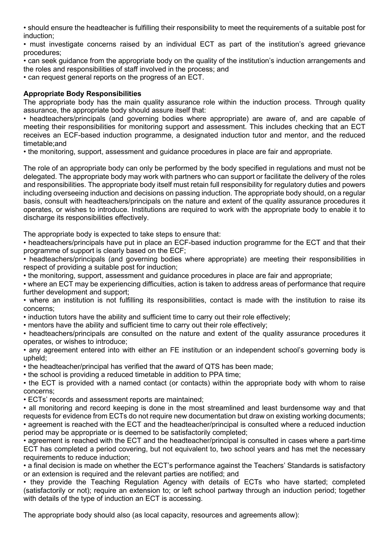• should ensure the headteacher is fulfilling their responsibility to meet the requirements of a suitable post for induction;

• must investigate concerns raised by an individual ECT as part of the institution's agreed grievance procedures;

• can seek guidance from the appropriate body on the quality of the institution's induction arrangements and the roles and responsibilities of staff involved in the process; and

• can request general reports on the progress of an ECT.

## **Appropriate Body Responsibilities**

The appropriate body has the main quality assurance role within the induction process. Through quality assurance, the appropriate body should assure itself that:

• headteachers/principals (and governing bodies where appropriate) are aware of, and are capable of meeting their responsibilities for monitoring support and assessment. This includes checking that an ECT receives an ECF-based induction programme, a designated induction tutor and mentor, and the reduced timetable;and

• the monitoring, support, assessment and guidance procedures in place are fair and appropriate.

The role of an appropriate body can only be performed by the body specified in regulations and must not be delegated. The appropriate body may work with partners who can support or facilitate the delivery of the roles and responsibilities. The appropriate body itself must retain full responsibility for regulatory duties and powers including overseeing induction and decisions on passing induction. The appropriate body should, on a regular basis, consult with headteachers/principals on the nature and extent of the quality assurance procedures it operates, or wishes to introduce. Institutions are required to work with the appropriate body to enable it to discharge its responsibilities effectively.

The appropriate body is expected to take steps to ensure that:

• headteachers/principals have put in place an ECF-based induction programme for the ECT and that their programme of support is clearly based on the ECF;

• headteachers/principals (and governing bodies where appropriate) are meeting their responsibilities in respect of providing a suitable post for induction;

• the monitoring, support, assessment and guidance procedures in place are fair and appropriate;

• where an ECT may be experiencing difficulties, action is taken to address areas of performance that require further development and support;

• where an institution is not fulfilling its responsibilities, contact is made with the institution to raise its concerns;

• induction tutors have the ability and sufficient time to carry out their role effectively;

• mentors have the ability and sufficient time to carry out their role effectively;

• headteachers/principals are consulted on the nature and extent of the quality assurance procedures it operates, or wishes to introduce;

• any agreement entered into with either an FE institution or an independent school's governing body is upheld;

• the headteacher/principal has verified that the award of QTS has been made;

• the school is providing a reduced timetable in addition to PPA time;

• the ECT is provided with a named contact (or contacts) within the appropriate body with whom to raise concerns;

• ECTs' records and assessment reports are maintained;

• all monitoring and record keeping is done in the most streamlined and least burdensome way and that requests for evidence from ECTs do not require new documentation but draw on existing working documents; • agreement is reached with the ECT and the headteacher/principal is consulted where a reduced induction period may be appropriate or is deemed to be satisfactorily completed;

• agreement is reached with the ECT and the headteacher/principal is consulted in cases where a part-time ECT has completed a period covering, but not equivalent to, two school years and has met the necessary requirements to reduce induction;

• a final decision is made on whether the ECT's performance against the Teachers' Standards is satisfactory or an extension is required and the relevant parties are notified; and

• they provide the Teaching Regulation Agency with details of ECTs who have started; completed (satisfactorily or not); require an extension to; or left school partway through an induction period; together with details of the type of induction an ECT is accessing.

The appropriate body should also (as local capacity, resources and agreements allow):